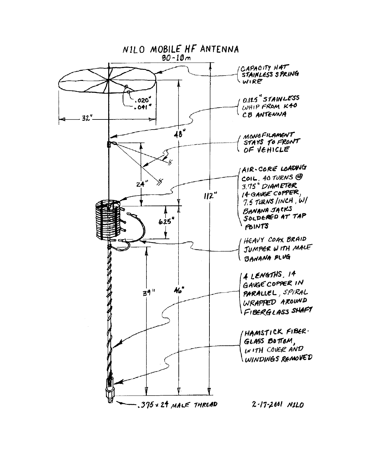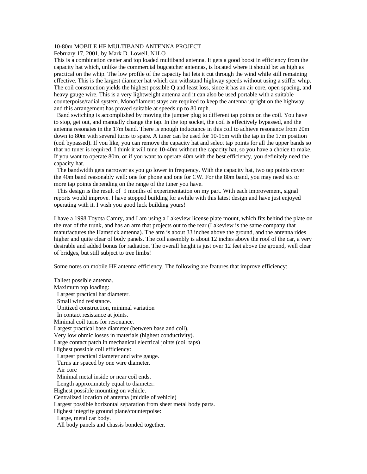# 10-80m MOBILE HF MULTIBAND ANTENNA PROJECT

February 17, 2001, by Mark D. Lowell, N1LO

This is a combination center and top loaded multiband antenna. It gets a good boost in efficiency from the capacity hat which, unlike the commercial bugcatcher antennas, is located where it should be: as high as practical on the whip. The low profile of the capacity hat lets it cut through the wind while still remaining effective. This is the largest diameter hat which can withstand highway speeds without using a stiffer whip. The coil construction yields the highest possible Q and least loss, since it has an air core, open spacing, and heavy gauge wire. This is a very lightweight antenna and it can also be used portable with a suitable counterpoise/radial system. Monofilament stays are required to keep the antenna upright on the highway, and this arrangement has proved suitable at speeds up to 80 mph.

 Band switching is accomplished by moving the jumper plug to different tap points on the coil. You have to stop, get out, and manually change the tap. In the top socket, the coil is effectively bypassed, and the antenna resonates in the 17m band. There is enough inductance in this coil to achieve resonance from 20m down to 80m with several turns to spare. A tuner can be used for 10-15m with the tap in the 17m position (coil bypassed). If you like, you can remove the capacity hat and select tap points for all the upper bands so that no tuner is required. I think it will tune 10-40m without the capacity hat, so you have a choice to make. If you want to operate 80m, or if you want to operate 40m with the best efficiency, you definitely need the capacity hat.

 The bandwidth gets narrower as you go lower in frequency. With the capacity hat, two tap points cover the 40m band reasonably well: one for phone and one for CW. For the 80m band, you may need six or more tap points depending on the range of the tuner you have.

 This design is the result of 9 months of experimentation on my part. With each improvement, signal reports would improve. I have stopped building for awhile with this latest design and have just enjoyed operating with it. I wish you good luck building yours!

I have a 1998 Toyota Camry, and I am using a Lakeview license plate mount, which fits behind the plate on the rear of the trunk, and has an arm that projects out to the rear (Lakeview is the same company that manufactures the Hamstick antenna). The arm is about 33 inches above the ground, and the antenna rides higher and quite clear of body panels. The coil assembly is about 12 inches above the roof of the car, a very desirable and added bonus for radiation. The overall height is just over 12 feet above the ground, well clear of bridges, but still subject to tree limbs!

Some notes on mobile HF antenna efficiency. The following are features that improve efficiency:

Tallest possible antenna. Maximum top loading: Largest practical hat diameter. Small wind resistance. Unitized construction, minimal variation In contact resistance at joints. Minimal coil turns for resonance. Largest practical base diameter (between base and coil). Very low ohmic losses in materials (highest conductivity). Large contact patch in mechanical electrical joints (coil taps) Highest possible coil efficiency: Largest practical diameter and wire gauge. Turns air spaced by one wire diameter. Air core Minimal metal inside or near coil ends. Length approximately equal to diameter. Highest possible mounting on vehicle. Centralized location of antenna (middle of vehicle) Largest possible horizontal separation from sheet metal body parts. Highest integrity ground plane/counterpoise: Large, metal car body. All body panels and chassis bonded together.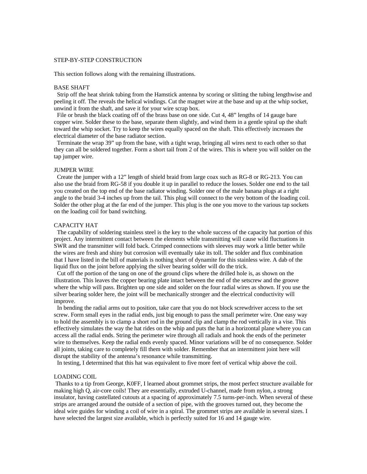## STEP-BY-STEP CONSTRUCTION

This section follows along with the remaining illustrations.

#### BASE SHAFT

 Strip off the heat shrink tubing from the Hamstick antenna by scoring or slitting the tubing lengthwise and peeling it off. The reveals the helical windings. Cut the magnet wire at the base and up at the whip socket, unwind it from the shaft, and save it for your wire scrap box.

 File or brush the black coating off of the brass base on one side. Cut 4, 48" lengths of 14 gauge bare copper wire. Solder these to the base, separate them slightly, and wind them in a gentle spiral up the shaft toward the whip socket. Try to keep the wires equally spaced on the shaft. This effectively increases the electrical diameter of the base radiator section.

 Terminate the wrap 39" up from the base, with a tight wrap, bringing all wires next to each other so that they can all be soldered together. Form a short tail from 2 of the wires. This is where you will solder on the tap jumper wire.

#### JUMPER WIRE

 Create the jumper with a 12" length of shield braid from large coax such as RG-8 or RG-213. You can also use the braid from RG-58 if you double it up in parallel to reduce the losses. Solder one end to the tail you created on the top end of the base radiator winding. Solder one of the male banana plugs at a right angle to the braid 3-4 inches up from the tail. This plug will connect to the very bottom of the loading coil. Solder the other plug at the far end of the jumper. This plug is the one you move to the various tap sockets on the loading coil for band switching.

#### CAPACITY HAT

 The capability of soldering stainless steel is the key to the whole success of the capacity hat portion of this project. Any intermittent contact between the elements while transmitting will cause wild fluctuations in SWR and the transmitter will fold back. Crimped connections with sleeves may work a little better while the wires are fresh and shiny but corrosion will eventually take its toll. The solder and flux combination that I have listed in the bill of materials is nothing short of dynamite for this stainless wire. A dab of the liquid flux on the joint before applying the silver bearing solder will do the trick.

 Cut off the portion of the tang on one of the ground clips where the drilled hole is, as shown on the illustration. This leaves the copper bearing plate intact between the end of the setscrew and the groove where the whip will pass. Brighten up one side and solder on the four radial wires as shown. If you use the silver bearing solder here, the joint will be mechanically stronger and the electrical conductivity will improve.

 In bending the radial arms out to position, take care that you do not block screwdriver access to the set screw. Form small eyes in the radial ends, just big enough to pass the small perimeter wire. One easy way to hold the assembly is to clamp a short rod in the ground clip and clamp the rod vertically in a vise. This effectively simulates the way the hat rides on the whip and puts the hat in a horizontal plane where you can access all the radial ends. String the perimeter wire through all radials and hook the ends of the perimeter wire to themselves. Keep the radial ends evenly spaced. Minor variations will be of no consequence. Solder all joints, taking care to completely fill them with solder. Remember that an intermittent joint here will disrupt the stability of the antenna's resonance while transmitting.

In testing, I determined that this hat was equivalent to five more feet of vertical whip above the coil.

#### LOADING COIL

 Thanks to a tip from George, K0FF, I learned about grommet strips, the most perfect structure available for making high Q, air-core coils! They are essentially, extruded U-channel, made from nylon, a strong insulator, having castellated cutouts at a spacing of approximately 7.5 turns-per-inch. When several of these strips are arranged around the outside of a section of pipe, with the grooves turned out, they become the ideal wire guides for winding a coil of wire in a spiral. The grommet strips are available in several sizes. I have selected the largest size available, which is perfectly suited for 16 and 14 gauge wire.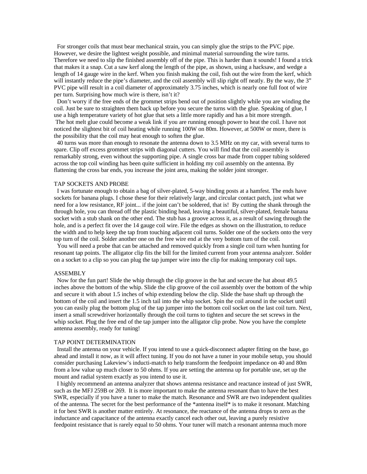For stronger coils that must bear mechanical strain, you can simply glue the strips to the PVC pipe. However, we desire the lightest weight possible, and minimal material surrounding the wire turns. Therefore we need to slip the finished assembly off of the pipe. This is harder than it sounds! I found a trick that makes it a snap. Cut a saw kerf along the length of the pipe, as shown, using a hacksaw, and wedge a length of 14 gauge wire in the kerf. When you finish making the coil, fish out the wire from the kerf, which will instantly reduce the pipe's diameter, and the coil assembly will slip right off neatly. By the way, the 3" PVC pipe will result in a coil diameter of approximately 3.75 inches, which is nearly one full foot of wire per turn. Surprising how much wire is there, isn't it?

 Don't worry if the free ends of the grommet strips bend out of position slightly while you are winding the coil. Just be sure to straighten them back up before you secure the turns with the glue. Speaking of glue, I use a high temperature variety of hot glue that sets a little more rapidly and has a bit more strength. The hot melt glue could become a weak link if you are running enough power to heat the coil. I have not noticed the slightest bit of coil heating while running 100W on 80m. However, at 500W or more, there is the possibility that the coil may heat enough to soften the glue.

 40 turns was more than enough to resonate the antenna down to 3.5 MHz on my car, with several turns to spare. Clip off excess grommet strips with diagonal cutters. You will find that the coil assembly is remarkably strong, even without the supporting pipe. A single cross bar made from copper tubing soldered across the top coil winding has been quite sufficient in holding my coil assembly on the antenna. By flattening the cross bar ends, you increase the joint area, making the solder joint stronger.

#### TAP SOCKETS AND PROBE

 I was fortunate enough to obtain a bag of silver-plated, 5-way binding posts at a hamfest. The ends have sockets for banana plugs. I chose these for their relatively large, and circular contact patch, just what we need for a low resistance, RF joint... if the joint can't be soldered, that is! By cutting the shank through the through hole, you can thread off the plastic binding head, leaving a beautiful, silver-plated, female banana socket with a stub shank on the other end. The stub has a groove across it, as a result of sawing through the hole, and is a perfect fit over the 14 gauge coil wire. File the edges as shown on the illustration, to reduce the width and to help keep the tap from touching adjacent coil turns. Solder one of the sockets onto the very top turn of the coil. Solder another one on the free wire end at the very bottom turn of the coil.

 You will need a probe that can be attached and removed quickly from a single coil turn when hunting for resonant tap points. The alligator clip fits the bill for the limited current from your antenna analyzer. Solder on a socket to a clip so you can plug the tap jumper wire into the clip for making temporary coil taps.

### **ASSEMBLY**

 Now for the fun part! Slide the whip through the clip groove in the hat and secure the hat about 49.5 inches above the bottom of the whip. Slide the clip groove of the coil assembly over the bottom of the whip and secure it with about 1.5 inches of whip extending below the clip. Slide the base shaft up through the bottom of the coil and insert the 1.5 inch tail into the whip socket. Spin the coil around in the socket until you can easily plug the bottom plug of the tap jumper into the bottom coil socket on the last coil turn. Next, insert a small screwdriver horizontally through the coil turns to tighten and secure the set screws in the whip socket. Plug the free end of the tap jumper into the alligator clip probe. Now you have the complete antenna assembly, ready for tuning!

## TAP POINT DETERMINATION

 Install the antenna on your vehicle. If you intend to use a quick-disconnect adapter fitting on the base, go ahead and install it now, as it will affect tuning. If you do not have a tuner in your mobile setup, you should consider purchasing Lakeview's inducti-match to help transform the feedpoint impedance on 40 and 80m from a low value up much closer to 50 ohms. If you are setting the antenna up for portable use, set up the mount and radial system exactly as you intend to use it.

 I highly recommend an antenna analyzer that shows antenna resistance and reactance instead of just SWR, such as the MFJ 259B or 269. It is more important to make the antenna resonant than to have the best SWR, especially if you have a tuner to make the match. Resonance and SWR are two independent qualities of the antenna. The secret for the best performance of the \*antenna itself\* is to make it resonant. Matching it for best SWR is another matter entirely. At resonance, the reactance of the antenna drops to zero as the inductance and capacitance of the antenna exactly cancel each other out, leaving a purely resistive feedpoint resistance that is rarely equal to 50 ohms. Your tuner will match a resonant antenna much more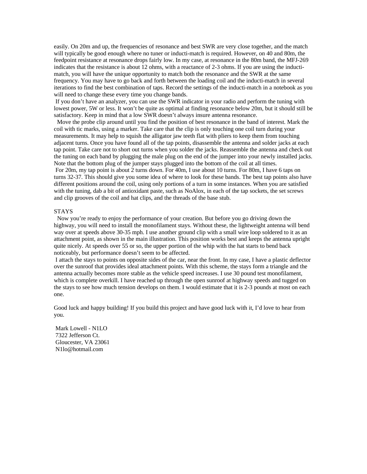easily. On 20m and up, the frequencies of resonance and best SWR are very close together, and the match will typically be good enough where no tuner or inducti-match is required. However, on 40 and 80m, the feedpoint resistance at resonance drops fairly low. In my case, at resonance in the 80m band, the MFJ-269 indicates that the resistance is about 12 ohms, with a reactance of 2-3 ohms. If you are using the inductimatch, you will have the unique opportunity to match both the resonance and the SWR at the same frequency. You may have to go back and forth between the loading coil and the inducti-match in several iterations to find the best combination of taps. Record the settings of the inducti-match in a notebook as you will need to change these every time you change bands.

 If you don't have an analyzer, you can use the SWR indicator in your radio and perform the tuning with lowest power, 5W or less. It won't be quite as optimal at finding resonance below 20m, but it should still be satisfactory. Keep in mind that a low SWR doesn't always insure antenna resonance.

 Move the probe clip around until you find the position of best resonance in the band of interest. Mark the coil with tic marks, using a marker. Take care that the clip is only touching one coil turn during your measurements. It may help to squish the alligator jaw teeth flat with pliers to keep them from touching adjacent turns. Once you have found all of the tap points, disassemble the antenna and solder jacks at each tap point. Take care not to short out turns when you solder the jacks. Reassemble the antenna and check out the tuning on each band by plugging the male plug on the end of the jumper into your newly installed jacks. Note that the bottom plug of the jumper stays plugged into the bottom of the coil at all times.

 For 20m, my tap point is about 2 turns down. For 40m, I use about 10 turns. For 80m, I have 6 taps on turns 32-37. This should give you some idea of where to look for these bands. The best tap points also have different positions around the coil, using only portions of a turn in some instances. When you are satisfied with the tuning, dab a bit of antioxidant paste, such as NoAlox, in each of the tap sockets, the set screws and clip grooves of the coil and hat clips, and the threads of the base stub.

#### STAYS

 Now you're ready to enjoy the performance of your creation. But before you go driving down the highway, you will need to install the monofilament stays. Without these, the lightweight antenna will bend way over at speeds above 30-35 mph. I use another ground clip with a small wire loop soldered to it as an attachment point, as shown in the main illustration. This position works best and keeps the antenna upright quite nicely. At speeds over 55 or so, the upper portion of the whip with the hat starts to bend back noticeably, but performance doesn't seem to be affected.

 I attach the stays to points on opposite sides of the car, near the front. In my case, I have a plastic deflector over the sunroof that provides ideal attachment points. With this scheme, the stays form a triangle and the antenna actually becomes more stable as the vehicle speed increases. I use 30 pound test monofilament, which is complete overkill. I have reached up through the open sunroof at highway speeds and tugged on the stays to see how much tension develops on them. I would estimate that it is 2-3 pounds at most on each one.

Good luck and happy building! If you build this project and have good luck with it, I'd love to hear from you.

 Mark Lowell - N1LO 7322 Jefferson Ct. Gloucester, VA 23061 N1lo@hotmail.com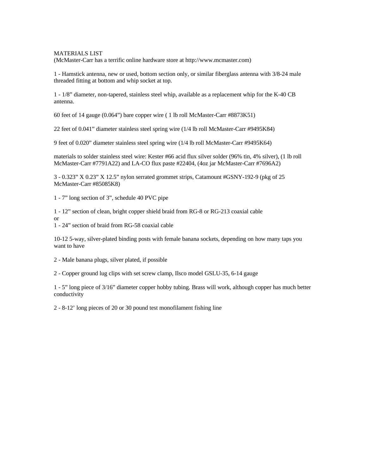MATERIALS LIST

(McMaster-Carr has a terrific online hardware store at http://www.mcmaster.com)

1 - Hamstick antenna, new or used, bottom section only, or similar fiberglass antenna with 3/8-24 male threaded fitting at bottom and whip socket at top.

1 - 1/8" diameter, non-tapered, stainless steel whip, available as a replacement whip for the K-40 CB antenna.

60 feet of 14 gauge (0.064") bare copper wire ( 1 lb roll McMaster-Carr #8873K51)

22 feet of 0.041" diameter stainless steel spring wire (1/4 lb roll McMaster-Carr #9495K84)

9 feet of 0.020" diameter stainless steel spring wire (1/4 lb roll McMaster-Carr #9495K64)

materials to solder stainless steel wire: Kester #66 acid flux silver solder (96% tin, 4% silver), (1 lb roll McMaster-Carr #7791A22) and LA-CO flux paste #22404, (4oz jar McMaster-Carr #7696A2)

3 - 0.323" X 0.23" X 12.5" nylon serrated grommet strips, Catamount #GSNY-192-9 (pkg of 25 McMaster-Carr #85085K8)

1 - 7" long section of 3", schedule 40 PVC pipe

1 - 12" section of clean, bright copper shield braid from RG-8 or RG-213 coaxial cable or

1 - 24" section of braid from RG-58 coaxial cable

10-12 5-way, silver-plated binding posts with female banana sockets, depending on how many taps you want to have

2 - Male banana plugs, silver plated, if possible

2 - Copper ground lug clips with set screw clamp, Ilsco model GSLU-35, 6-14 gauge

1 - 5" long piece of 3/16" diameter copper hobby tubing. Brass will work, although copper has much better conductivity

2 - 8-12' long pieces of 20 or 30 pound test monofilament fishing line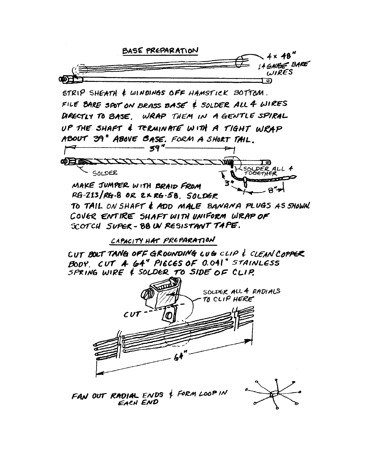

FAN OUT RADIAL ENDS & FORM LOOP IN EACH END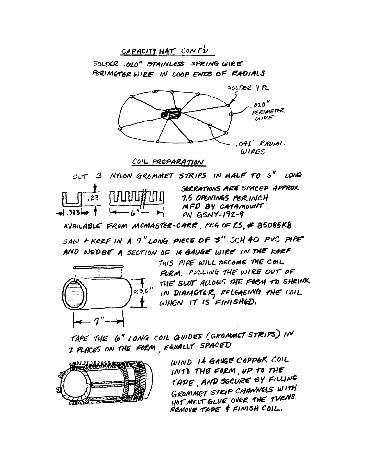

SAW A KERF IN A 7" LONG PIECE OF 3" SCH 40 PVC PIPE AND WEDGE A SECTION OF 14 GAUGE WIRE IN THE KGRF



THIS PIPE WILL BECOME THE COIL FORM. PULLING THE WIRE OUT OF THE SLOT ALLOWS THE FORM TO SHRINK IN DIAMETER, RELEASING THE COIL WHEN IT IS FINISHED.

TAPE THE 6" LONG COIL GUIDES (GROMMET STRIPS) IN I PLACES ON THE FORM, FAVALLY SPACED



WIND If GAVGE COPPER COIL INTO THE FORM, UP TO THE TAPE, AND SECURE BY FILLING GROMMET STRIP CHANNELS WITH HOT MELT GLUE OVER THE TURNS. REMOVE TAPE & FINISH COIL.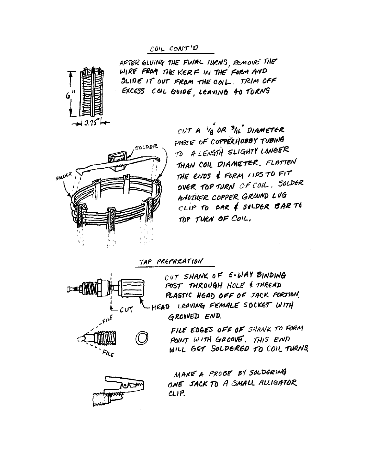# COIL CONT'D



AFTER GLUING THE FINAL TURNS REMOVE THE WIRE FROM THE KERF IN THE FORM AND SLIDE IT OUT FROM THE COIL. TRIM OFF EXCESS COL GUIDE, LEAVING 40 TURNS



CUT A  $V_B$  OR  $^3$ /L" DIAMETER PIECE OF COPPERHOBBY TUBING TO A LENGTH SLIGHTY LONGER THAN COIL DIAMETER. FLATTEN THE ENDS & FORM LIPS TO FIT OVER TOP TURN OF COIL. SOLDER ANOTHER COPPER GROUND LUG CLIP TO BAR & SILDER BAR TO TOP TURN OF COIL.

TAP PREPARATION



CUT SHANK OF 5-WAY BINDING POST THROUGH HOLE & THREAD PLASTIC HEAD OFF OF JACK PORTION, -HEAD LEAVING FEMALE SOCKET WITH GROOVED END.

> FILE EDGES OFF OF SHANK TO FORM POINT WITH GROOVE, THIS END WILL GET SOLDERED TO COIL TURNS.



MAKE A PRODE BY SOLDERING ONE JACK TO A SMALL ALLIGATOR  $CLIP$